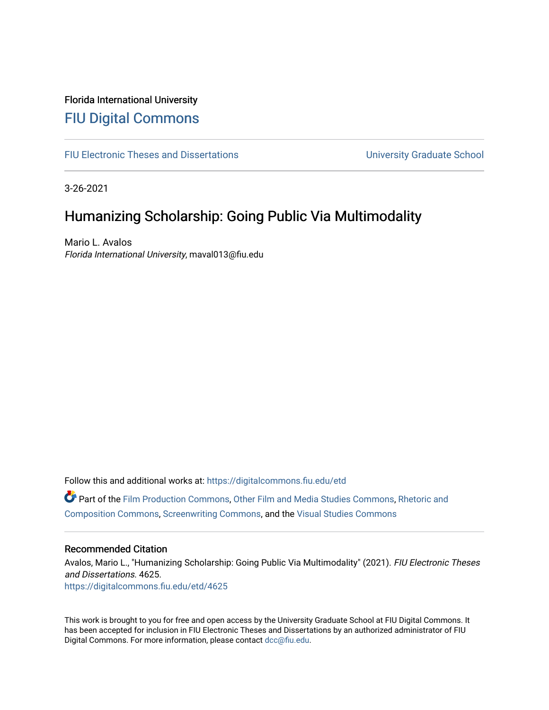# Florida International University [FIU Digital Commons](https://digitalcommons.fiu.edu/)

[FIU Electronic Theses and Dissertations](https://digitalcommons.fiu.edu/etd) **EXECUTE:** University Graduate School

3-26-2021

# Humanizing Scholarship: Going Public Via Multimodality

Mario L. Avalos Florida International University, maval013@fiu.edu

Follow this and additional works at: [https://digitalcommons.fiu.edu/etd](https://digitalcommons.fiu.edu/etd?utm_source=digitalcommons.fiu.edu%2Fetd%2F4625&utm_medium=PDF&utm_campaign=PDFCoverPages)

Part of the [Film Production Commons](http://network.bepress.com/hgg/discipline/1290?utm_source=digitalcommons.fiu.edu%2Fetd%2F4625&utm_medium=PDF&utm_campaign=PDFCoverPages), [Other Film and Media Studies Commons,](http://network.bepress.com/hgg/discipline/565?utm_source=digitalcommons.fiu.edu%2Fetd%2F4625&utm_medium=PDF&utm_campaign=PDFCoverPages) [Rhetoric and](http://network.bepress.com/hgg/discipline/573?utm_source=digitalcommons.fiu.edu%2Fetd%2F4625&utm_medium=PDF&utm_campaign=PDFCoverPages) [Composition Commons](http://network.bepress.com/hgg/discipline/573?utm_source=digitalcommons.fiu.edu%2Fetd%2F4625&utm_medium=PDF&utm_campaign=PDFCoverPages), [Screenwriting Commons](http://network.bepress.com/hgg/discipline/1291?utm_source=digitalcommons.fiu.edu%2Fetd%2F4625&utm_medium=PDF&utm_campaign=PDFCoverPages), and the [Visual Studies Commons](http://network.bepress.com/hgg/discipline/564?utm_source=digitalcommons.fiu.edu%2Fetd%2F4625&utm_medium=PDF&utm_campaign=PDFCoverPages) 

### Recommended Citation

Avalos, Mario L., "Humanizing Scholarship: Going Public Via Multimodality" (2021). FIU Electronic Theses and Dissertations. 4625. [https://digitalcommons.fiu.edu/etd/4625](https://digitalcommons.fiu.edu/etd/4625?utm_source=digitalcommons.fiu.edu%2Fetd%2F4625&utm_medium=PDF&utm_campaign=PDFCoverPages) 

This work is brought to you for free and open access by the University Graduate School at FIU Digital Commons. It has been accepted for inclusion in FIU Electronic Theses and Dissertations by an authorized administrator of FIU Digital Commons. For more information, please contact [dcc@fiu.edu](mailto:dcc@fiu.edu).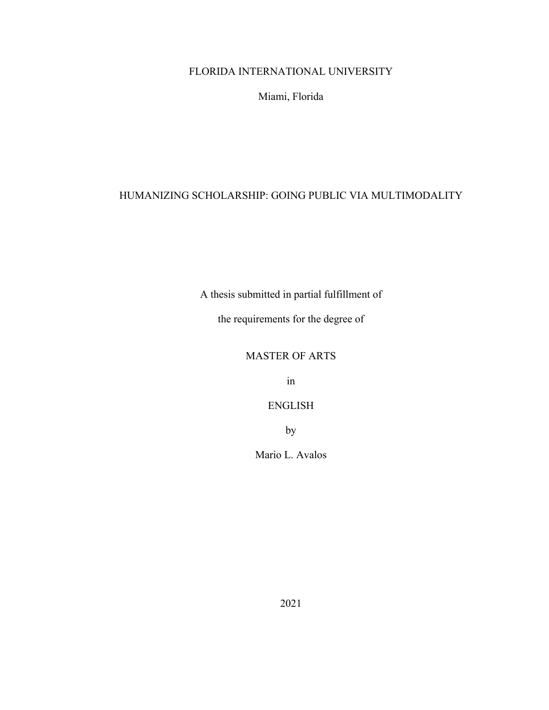# FLORIDA INTERNATIONAL UNIVERSITY

Miami, Florida

# HUMANIZING SCHOLARSHIP: GOING PUBLIC VIA MULTIMODALITY

A thesis submitted in partial fulfillment of

the requirements for the degree of

# MASTER OF ARTS

in

# ENGLISH

by

Mario L. Avalos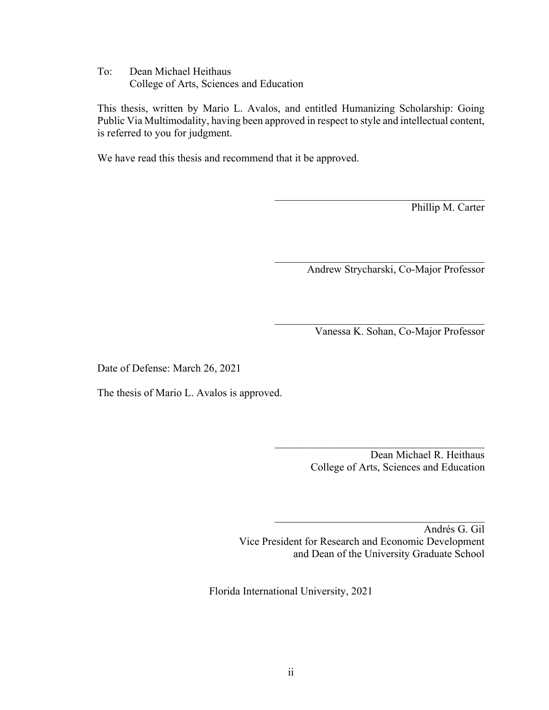To: Dean Michael Heithaus College of Arts, Sciences and Education

This thesis, written by Mario L. Avalos, and entitled Humanizing Scholarship: Going Public Via Multimodality, having been approved in respect to style and intellectual content, is referred to you for judgment.

We have read this thesis and recommend that it be approved.

Phillip M. Carter

Andrew Strycharski, Co-Major Professor

 $\mathcal{L}_\text{max}$  and  $\mathcal{L}_\text{max}$  and  $\mathcal{L}_\text{max}$  and  $\mathcal{L}_\text{max}$ 

Vanessa K. Sohan, Co-Major Professor

 $\mathcal{L}_\text{max}$  and  $\mathcal{L}_\text{max}$  and  $\mathcal{L}_\text{max}$  and  $\mathcal{L}_\text{max}$ 

Date of Defense: March 26, 2021

The thesis of Mario L. Avalos is approved.

Dean Michael R. Heithaus College of Arts, Sciences and Education

 $\mathcal{L}_\text{max}$  and  $\mathcal{L}_\text{max}$  and  $\mathcal{L}_\text{max}$  and  $\mathcal{L}_\text{max}$ 

Andrés G. Gil Vice President for Research and Economic Development and Dean of the University Graduate School

Florida International University, 2021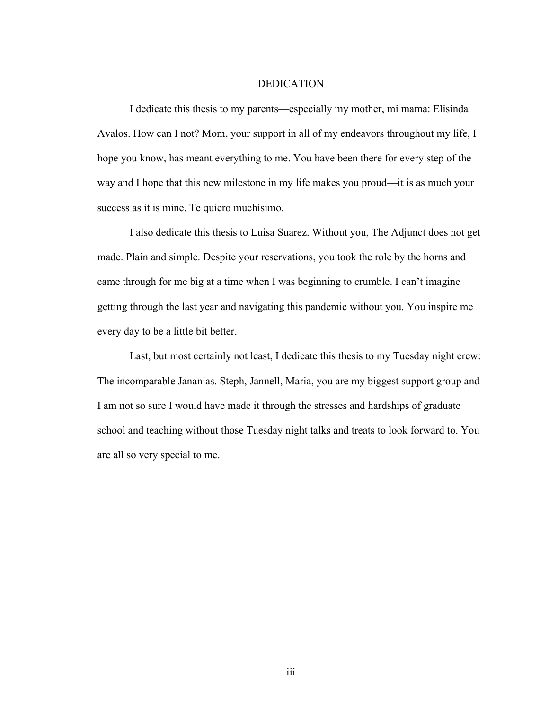## DEDICATION

I dedicate this thesis to my parents—especially my mother, mi mama: Elisinda Avalos. How can I not? Mom, your support in all of my endeavors throughout my life, I hope you know, has meant everything to me. You have been there for every step of the way and I hope that this new milestone in my life makes you proud—it is as much your success as it is mine. Te quiero muchísimo.

I also dedicate this thesis to Luisa Suarez. Without you, The Adjunct does not get made. Plain and simple. Despite your reservations, you took the role by the horns and came through for me big at a time when I was beginning to crumble. I can't imagine getting through the last year and navigating this pandemic without you. You inspire me every day to be a little bit better.

Last, but most certainly not least, I dedicate this thesis to my Tuesday night crew: The incomparable Jananias. Steph, Jannell, Maria, you are my biggest support group and I am not so sure I would have made it through the stresses and hardships of graduate school and teaching without those Tuesday night talks and treats to look forward to. You are all so very special to me.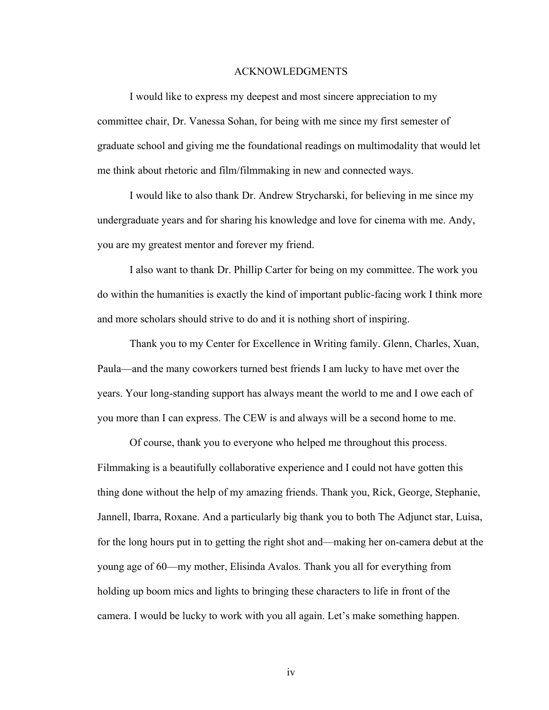### ACKNOWLEDGMENTS

I would like to express my deepest and most sincere appreciation to my committee chair, Dr. Vanessa Sohan, for being with me since my first semester of graduate school and giving me the foundational readings on multimodality that would let me think about rhetoric and film/filmmaking in new and connected ways.

I would like to also thank Dr. Andrew Strycharski, for believing in me since my undergraduate years and for sharing his knowledge and love for cinema with me. Andy, you are my greatest mentor and forever my friend.

I also want to thank Dr. Phillip Carter for being on my committee. The work you do within the humanities is exactly the kind of important public-facing work I think more and more scholars should strive to do and it is nothing short of inspiring.

Thank you to my Center for Excellence in Writing family. Glenn, Charles, Xuan, Paula—and the many coworkers turned best friends I am lucky to have met over the years. Your long-standing support has always meant the world to me and I owe each of you more than I can express. The CEW is and always will be a second home to me.

Of course, thank you to everyone who helped me throughout this process. Filmmaking is a beautifully collaborative experience and I could not have gotten this thing done without the help of my amazing friends. Thank you, Rick, George, Stephanie, Jannell, Ibarra, Roxane. And a particularly big thank you to both The Adjunct star, Luisa, for the long hours put in to getting the right shot and—making her on-camera debut at the young age of 60—my mother, Elisinda Avalos. Thank you all for everything from holding up boom mics and lights to bringing these characters to life in front of the camera. I would be lucky to work with you all again. Let's make something happen.

iv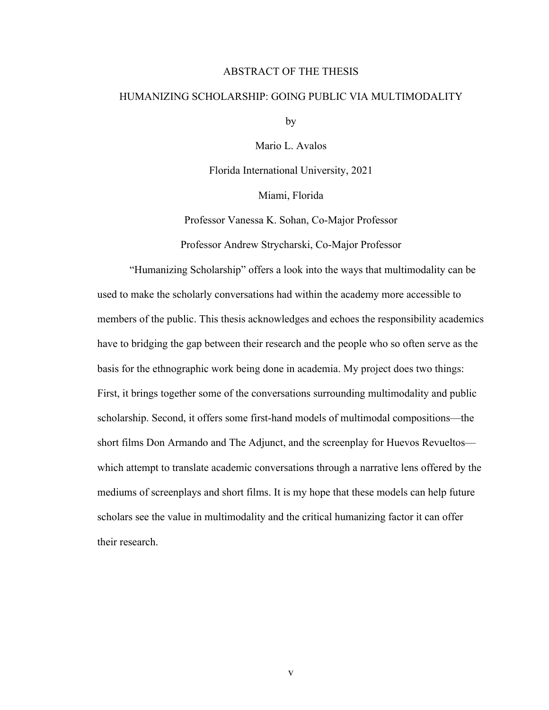### ABSTRACT OF THE THESIS

# HUMANIZING SCHOLARSHIP: GOING PUBLIC VIA MULTIMODALITY

by

Mario L. Avalos

Florida International University, 2021

Miami, Florida

Professor Vanessa K. Sohan, Co-Major Professor Professor Andrew Strycharski, Co-Major Professor

"Humanizing Scholarship" offers a look into the ways that multimodality can be used to make the scholarly conversations had within the academy more accessible to members of the public. This thesis acknowledges and echoes the responsibility academics have to bridging the gap between their research and the people who so often serve as the basis for the ethnographic work being done in academia. My project does two things: First, it brings together some of the conversations surrounding multimodality and public scholarship. Second, it offers some first-hand models of multimodal compositions—the short films Don Armando and The Adjunct, and the screenplay for Huevos Revueltos which attempt to translate academic conversations through a narrative lens offered by the mediums of screenplays and short films. It is my hope that these models can help future scholars see the value in multimodality and the critical humanizing factor it can offer their research.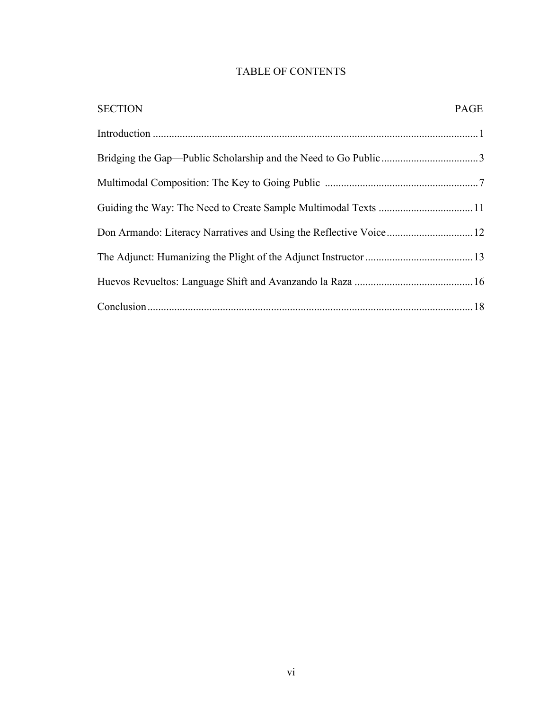# TABLE OF CONTENTS

| <b>SECTION</b>                                                     | PAGE |
|--------------------------------------------------------------------|------|
|                                                                    |      |
|                                                                    |      |
|                                                                    |      |
|                                                                    |      |
| Don Armando: Literacy Narratives and Using the Reflective Voice 12 |      |
|                                                                    |      |
|                                                                    |      |
|                                                                    |      |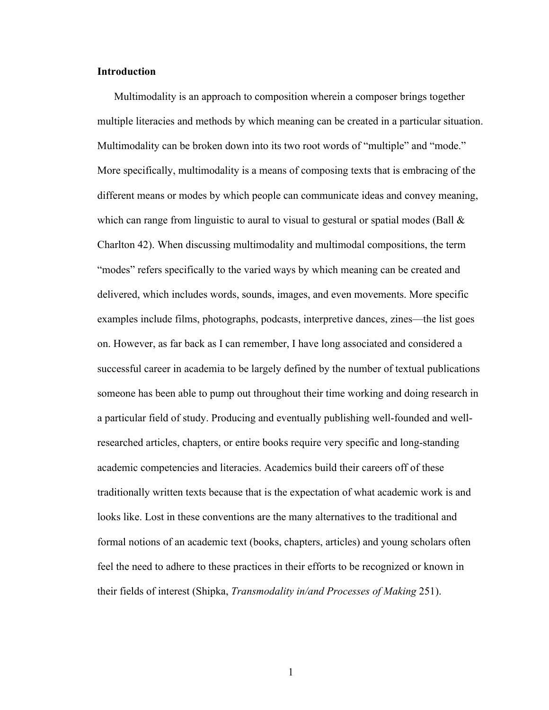## **Introduction**

Multimodality is an approach to composition wherein a composer brings together multiple literacies and methods by which meaning can be created in a particular situation. Multimodality can be broken down into its two root words of "multiple" and "mode." More specifically, multimodality is a means of composing texts that is embracing of the different means or modes by which people can communicate ideas and convey meaning, which can range from linguistic to aural to visual to gestural or spatial modes (Ball  $\&$ Charlton 42). When discussing multimodality and multimodal compositions, the term "modes" refers specifically to the varied ways by which meaning can be created and delivered, which includes words, sounds, images, and even movements. More specific examples include films, photographs, podcasts, interpretive dances, zines—the list goes on. However, as far back as I can remember, I have long associated and considered a successful career in academia to be largely defined by the number of textual publications someone has been able to pump out throughout their time working and doing research in a particular field of study. Producing and eventually publishing well-founded and wellresearched articles, chapters, or entire books require very specific and long-standing academic competencies and literacies. Academics build their careers off of these traditionally written texts because that is the expectation of what academic work is and looks like. Lost in these conventions are the many alternatives to the traditional and formal notions of an academic text (books, chapters, articles) and young scholars often feel the need to adhere to these practices in their efforts to be recognized or known in their fields of interest (Shipka, *Transmodality in/and Processes of Making* 251).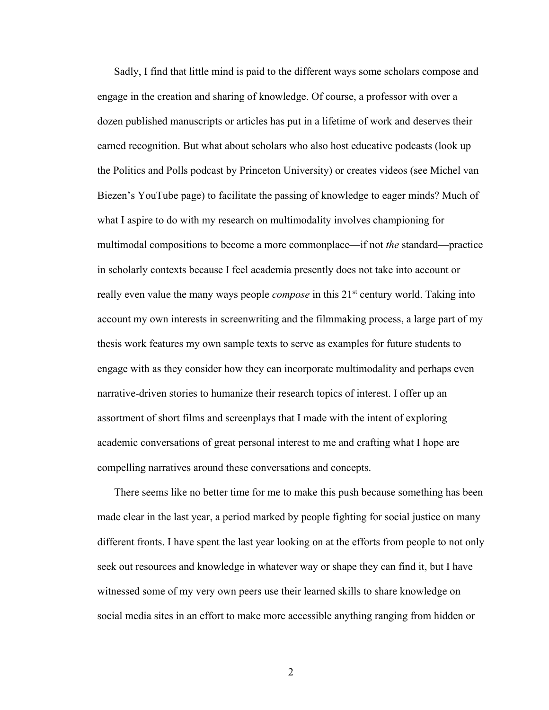Sadly, I find that little mind is paid to the different ways some scholars compose and engage in the creation and sharing of knowledge. Of course, a professor with over a dozen published manuscripts or articles has put in a lifetime of work and deserves their earned recognition. But what about scholars who also host educative podcasts (look up the Politics and Polls podcast by Princeton University) or creates videos (see Michel van Biezen's YouTube page) to facilitate the passing of knowledge to eager minds? Much of what I aspire to do with my research on multimodality involves championing for multimodal compositions to become a more commonplace—if not *the* standard—practice in scholarly contexts because I feel academia presently does not take into account or really even value the many ways people *compose* in this 21<sup>st</sup> century world. Taking into account my own interests in screenwriting and the filmmaking process, a large part of my thesis work features my own sample texts to serve as examples for future students to engage with as they consider how they can incorporate multimodality and perhaps even narrative-driven stories to humanize their research topics of interest. I offer up an assortment of short films and screenplays that I made with the intent of exploring academic conversations of great personal interest to me and crafting what I hope are compelling narratives around these conversations and concepts.

There seems like no better time for me to make this push because something has been made clear in the last year, a period marked by people fighting for social justice on many different fronts. I have spent the last year looking on at the efforts from people to not only seek out resources and knowledge in whatever way or shape they can find it, but I have witnessed some of my very own peers use their learned skills to share knowledge on social media sites in an effort to make more accessible anything ranging from hidden or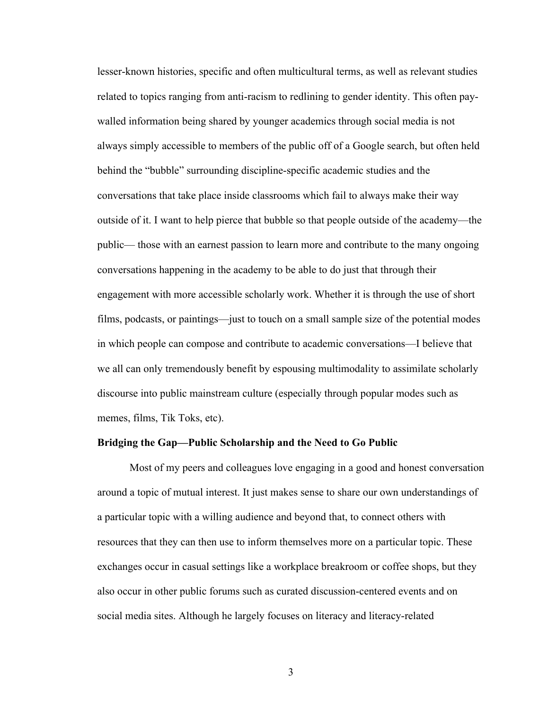lesser-known histories, specific and often multicultural terms, as well as relevant studies related to topics ranging from anti-racism to redlining to gender identity. This often paywalled information being shared by younger academics through social media is not always simply accessible to members of the public off of a Google search, but often held behind the "bubble" surrounding discipline-specific academic studies and the conversations that take place inside classrooms which fail to always make their way outside of it. I want to help pierce that bubble so that people outside of the academy—the public— those with an earnest passion to learn more and contribute to the many ongoing conversations happening in the academy to be able to do just that through their engagement with more accessible scholarly work. Whether it is through the use of short films, podcasts, or paintings—just to touch on a small sample size of the potential modes in which people can compose and contribute to academic conversations—I believe that we all can only tremendously benefit by espousing multimodality to assimilate scholarly discourse into public mainstream culture (especially through popular modes such as memes, films, Tik Toks, etc).

### **Bridging the Gap—Public Scholarship and the Need to Go Public**

Most of my peers and colleagues love engaging in a good and honest conversation around a topic of mutual interest. It just makes sense to share our own understandings of a particular topic with a willing audience and beyond that, to connect others with resources that they can then use to inform themselves more on a particular topic. These exchanges occur in casual settings like a workplace breakroom or coffee shops, but they also occur in other public forums such as curated discussion-centered events and on social media sites. Although he largely focuses on literacy and literacy-related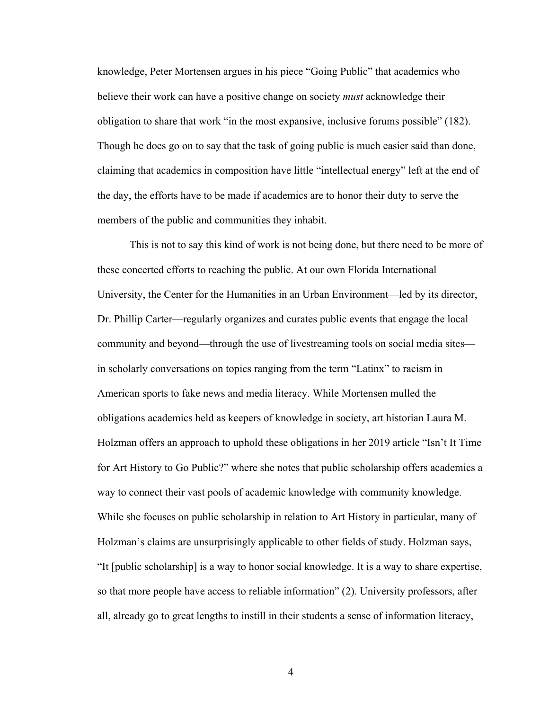knowledge, Peter Mortensen argues in his piece "Going Public" that academics who believe their work can have a positive change on society *must* acknowledge their obligation to share that work "in the most expansive, inclusive forums possible" (182). Though he does go on to say that the task of going public is much easier said than done, claiming that academics in composition have little "intellectual energy" left at the end of the day, the efforts have to be made if academics are to honor their duty to serve the members of the public and communities they inhabit.

This is not to say this kind of work is not being done, but there need to be more of these concerted efforts to reaching the public. At our own Florida International University, the Center for the Humanities in an Urban Environment—led by its director, Dr. Phillip Carter—regularly organizes and curates public events that engage the local community and beyond—through the use of livestreaming tools on social media sites in scholarly conversations on topics ranging from the term "Latinx" to racism in American sports to fake news and media literacy. While Mortensen mulled the obligations academics held as keepers of knowledge in society, art historian Laura M. Holzman offers an approach to uphold these obligations in her 2019 article "Isn't It Time for Art History to Go Public?" where she notes that public scholarship offers academics a way to connect their vast pools of academic knowledge with community knowledge. While she focuses on public scholarship in relation to Art History in particular, many of Holzman's claims are unsurprisingly applicable to other fields of study. Holzman says, "It [public scholarship] is a way to honor social knowledge. It is a way to share expertise, so that more people have access to reliable information" (2). University professors, after all, already go to great lengths to instill in their students a sense of information literacy,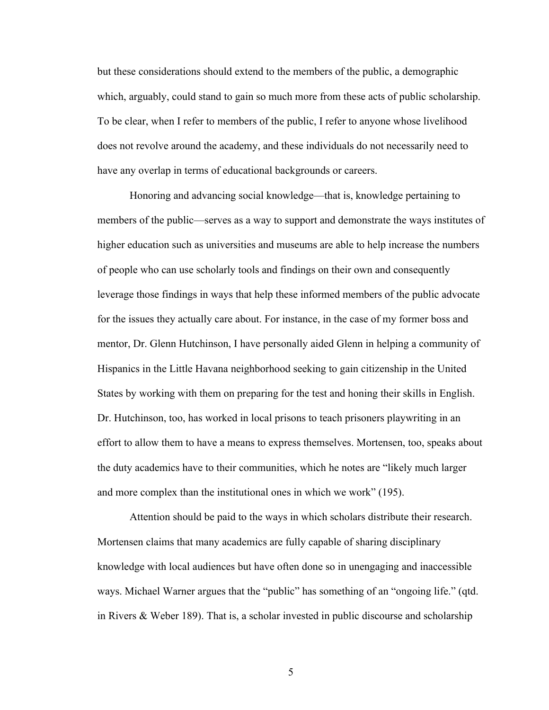but these considerations should extend to the members of the public, a demographic which, arguably, could stand to gain so much more from these acts of public scholarship. To be clear, when I refer to members of the public, I refer to anyone whose livelihood does not revolve around the academy, and these individuals do not necessarily need to have any overlap in terms of educational backgrounds or careers.

Honoring and advancing social knowledge—that is, knowledge pertaining to members of the public—serves as a way to support and demonstrate the ways institutes of higher education such as universities and museums are able to help increase the numbers of people who can use scholarly tools and findings on their own and consequently leverage those findings in ways that help these informed members of the public advocate for the issues they actually care about. For instance, in the case of my former boss and mentor, Dr. Glenn Hutchinson, I have personally aided Glenn in helping a community of Hispanics in the Little Havana neighborhood seeking to gain citizenship in the United States by working with them on preparing for the test and honing their skills in English. Dr. Hutchinson, too, has worked in local prisons to teach prisoners playwriting in an effort to allow them to have a means to express themselves. Mortensen, too, speaks about the duty academics have to their communities, which he notes are "likely much larger and more complex than the institutional ones in which we work" (195).

Attention should be paid to the ways in which scholars distribute their research. Mortensen claims that many academics are fully capable of sharing disciplinary knowledge with local audiences but have often done so in unengaging and inaccessible ways. Michael Warner argues that the "public" has something of an "ongoing life." (qtd. in Rivers & Weber 189). That is, a scholar invested in public discourse and scholarship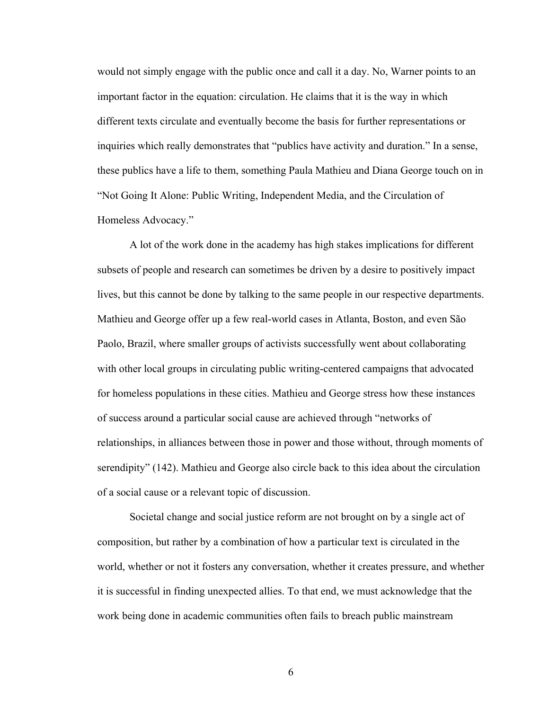would not simply engage with the public once and call it a day. No, Warner points to an important factor in the equation: circulation. He claims that it is the way in which different texts circulate and eventually become the basis for further representations or inquiries which really demonstrates that "publics have activity and duration." In a sense, these publics have a life to them, something Paula Mathieu and Diana George touch on in "Not Going It Alone: Public Writing, Independent Media, and the Circulation of Homeless Advocacy."

A lot of the work done in the academy has high stakes implications for different subsets of people and research can sometimes be driven by a desire to positively impact lives, but this cannot be done by talking to the same people in our respective departments. Mathieu and George offer up a few real-world cases in Atlanta, Boston, and even São Paolo, Brazil, where smaller groups of activists successfully went about collaborating with other local groups in circulating public writing-centered campaigns that advocated for homeless populations in these cities. Mathieu and George stress how these instances of success around a particular social cause are achieved through "networks of relationships, in alliances between those in power and those without, through moments of serendipity" (142). Mathieu and George also circle back to this idea about the circulation of a social cause or a relevant topic of discussion.

Societal change and social justice reform are not brought on by a single act of composition, but rather by a combination of how a particular text is circulated in the world, whether or not it fosters any conversation, whether it creates pressure, and whether it is successful in finding unexpected allies. To that end, we must acknowledge that the work being done in academic communities often fails to breach public mainstream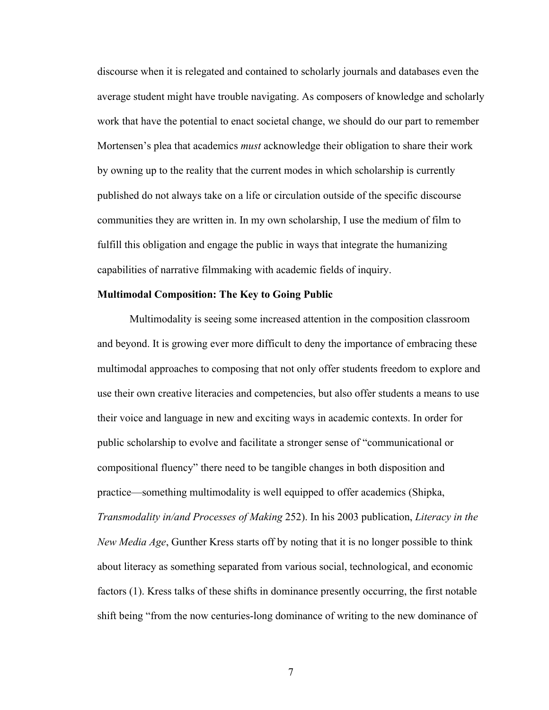discourse when it is relegated and contained to scholarly journals and databases even the average student might have trouble navigating. As composers of knowledge and scholarly work that have the potential to enact societal change, we should do our part to remember Mortensen's plea that academics *must* acknowledge their obligation to share their work by owning up to the reality that the current modes in which scholarship is currently published do not always take on a life or circulation outside of the specific discourse communities they are written in. In my own scholarship, I use the medium of film to fulfill this obligation and engage the public in ways that integrate the humanizing capabilities of narrative filmmaking with academic fields of inquiry.

### **Multimodal Composition: The Key to Going Public**

Multimodality is seeing some increased attention in the composition classroom and beyond. It is growing ever more difficult to deny the importance of embracing these multimodal approaches to composing that not only offer students freedom to explore and use their own creative literacies and competencies, but also offer students a means to use their voice and language in new and exciting ways in academic contexts. In order for public scholarship to evolve and facilitate a stronger sense of "communicational or compositional fluency" there need to be tangible changes in both disposition and practice—something multimodality is well equipped to offer academics (Shipka, *Transmodality in/and Processes of Making* 252). In his 2003 publication, *Literacy in the New Media Age*, Gunther Kress starts off by noting that it is no longer possible to think about literacy as something separated from various social, technological, and economic factors (1). Kress talks of these shifts in dominance presently occurring, the first notable shift being "from the now centuries-long dominance of writing to the new dominance of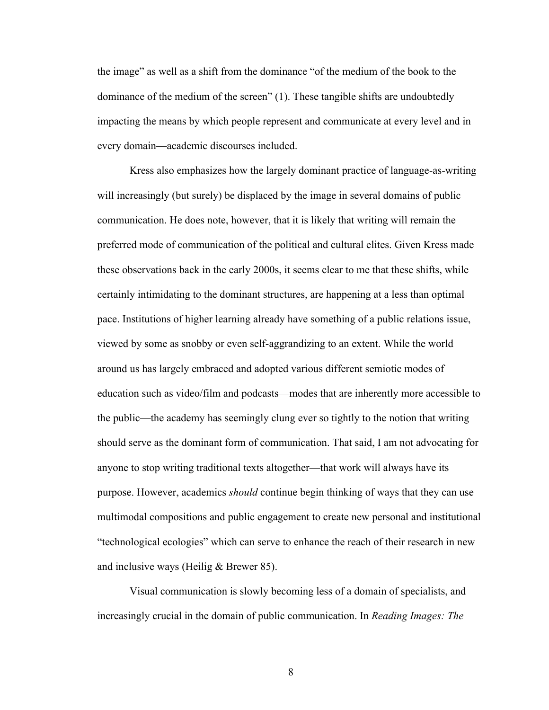the image" as well as a shift from the dominance "of the medium of the book to the dominance of the medium of the screen" (1). These tangible shifts are undoubtedly impacting the means by which people represent and communicate at every level and in every domain—academic discourses included.

Kress also emphasizes how the largely dominant practice of language-as-writing will increasingly (but surely) be displaced by the image in several domains of public communication. He does note, however, that it is likely that writing will remain the preferred mode of communication of the political and cultural elites. Given Kress made these observations back in the early 2000s, it seems clear to me that these shifts, while certainly intimidating to the dominant structures, are happening at a less than optimal pace. Institutions of higher learning already have something of a public relations issue, viewed by some as snobby or even self-aggrandizing to an extent. While the world around us has largely embraced and adopted various different semiotic modes of education such as video/film and podcasts—modes that are inherently more accessible to the public—the academy has seemingly clung ever so tightly to the notion that writing should serve as the dominant form of communication. That said, I am not advocating for anyone to stop writing traditional texts altogether—that work will always have its purpose. However, academics *should* continue begin thinking of ways that they can use multimodal compositions and public engagement to create new personal and institutional "technological ecologies" which can serve to enhance the reach of their research in new and inclusive ways (Heilig & Brewer 85).

Visual communication is slowly becoming less of a domain of specialists, and increasingly crucial in the domain of public communication. In *Reading Images: The*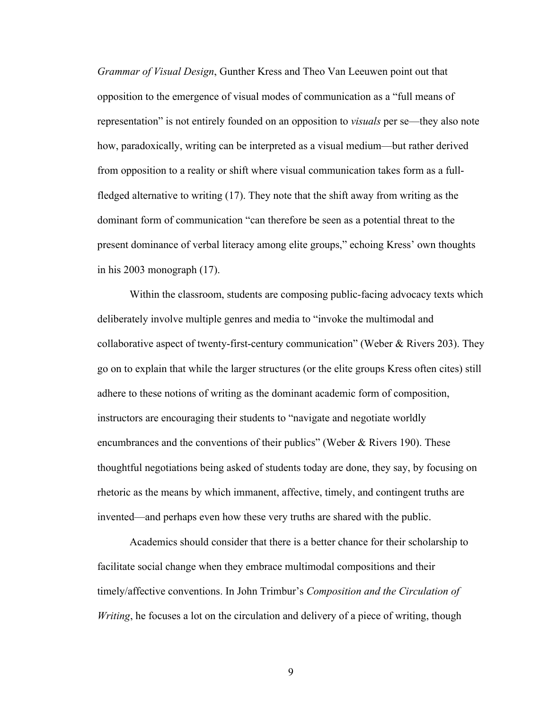*Grammar of Visual Design*, Gunther Kress and Theo Van Leeuwen point out that opposition to the emergence of visual modes of communication as a "full means of representation" is not entirely founded on an opposition to *visuals* per se—they also note how, paradoxically, writing can be interpreted as a visual medium—but rather derived from opposition to a reality or shift where visual communication takes form as a fullfledged alternative to writing (17). They note that the shift away from writing as the dominant form of communication "can therefore be seen as a potential threat to the present dominance of verbal literacy among elite groups," echoing Kress' own thoughts in his 2003 monograph (17).

Within the classroom, students are composing public-facing advocacy texts which deliberately involve multiple genres and media to "invoke the multimodal and collaborative aspect of twenty-first-century communication" (Weber & Rivers 203). They go on to explain that while the larger structures (or the elite groups Kress often cites) still adhere to these notions of writing as the dominant academic form of composition, instructors are encouraging their students to "navigate and negotiate worldly encumbrances and the conventions of their publics" (Weber & Rivers 190). These thoughtful negotiations being asked of students today are done, they say, by focusing on rhetoric as the means by which immanent, affective, timely, and contingent truths are invented—and perhaps even how these very truths are shared with the public.

Academics should consider that there is a better chance for their scholarship to facilitate social change when they embrace multimodal compositions and their timely/affective conventions. In John Trimbur's *Composition and the Circulation of Writing*, he focuses a lot on the circulation and delivery of a piece of writing, though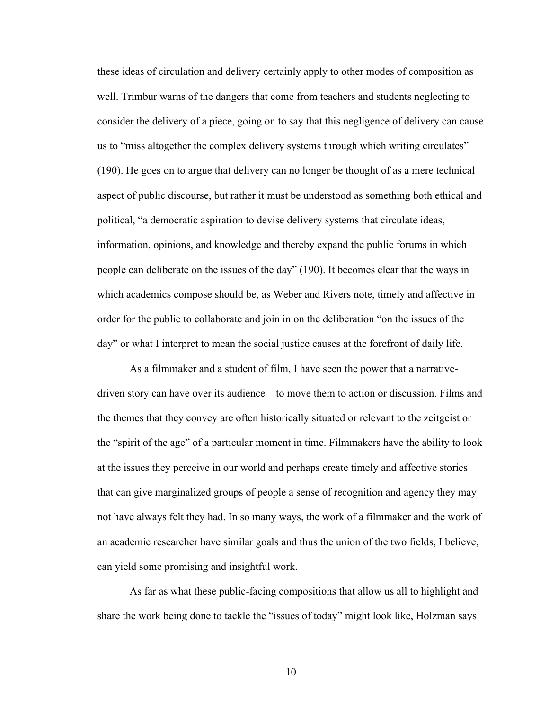these ideas of circulation and delivery certainly apply to other modes of composition as well. Trimbur warns of the dangers that come from teachers and students neglecting to consider the delivery of a piece, going on to say that this negligence of delivery can cause us to "miss altogether the complex delivery systems through which writing circulates" (190). He goes on to argue that delivery can no longer be thought of as a mere technical aspect of public discourse, but rather it must be understood as something both ethical and political, "a democratic aspiration to devise delivery systems that circulate ideas, information, opinions, and knowledge and thereby expand the public forums in which people can deliberate on the issues of the day" (190). It becomes clear that the ways in which academics compose should be, as Weber and Rivers note, timely and affective in order for the public to collaborate and join in on the deliberation "on the issues of the day" or what I interpret to mean the social justice causes at the forefront of daily life.

As a filmmaker and a student of film, I have seen the power that a narrativedriven story can have over its audience—to move them to action or discussion. Films and the themes that they convey are often historically situated or relevant to the zeitgeist or the "spirit of the age" of a particular moment in time. Filmmakers have the ability to look at the issues they perceive in our world and perhaps create timely and affective stories that can give marginalized groups of people a sense of recognition and agency they may not have always felt they had. In so many ways, the work of a filmmaker and the work of an academic researcher have similar goals and thus the union of the two fields, I believe, can yield some promising and insightful work.

As far as what these public-facing compositions that allow us all to highlight and share the work being done to tackle the "issues of today" might look like, Holzman says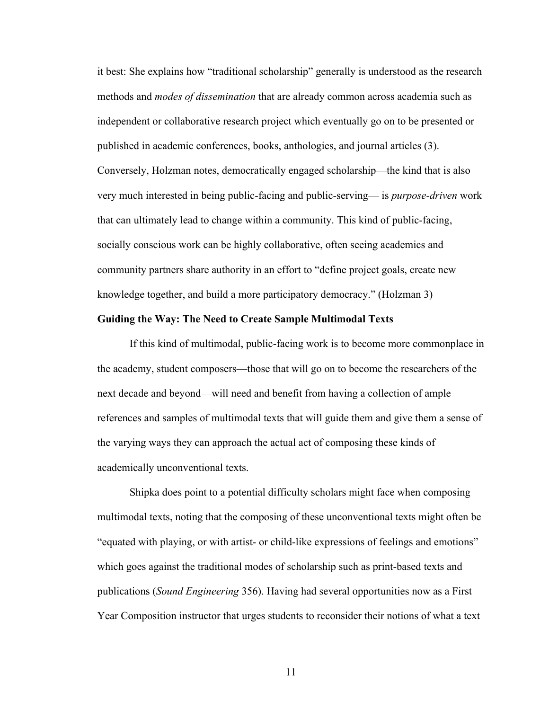it best: She explains how "traditional scholarship" generally is understood as the research methods and *modes of dissemination* that are already common across academia such as independent or collaborative research project which eventually go on to be presented or published in academic conferences, books, anthologies, and journal articles (3). Conversely, Holzman notes, democratically engaged scholarship—the kind that is also very much interested in being public-facing and public-serving— is *purpose-driven* work that can ultimately lead to change within a community. This kind of public-facing, socially conscious work can be highly collaborative, often seeing academics and community partners share authority in an effort to "define project goals, create new knowledge together, and build a more participatory democracy." (Holzman 3)

### **Guiding the Way: The Need to Create Sample Multimodal Texts**

If this kind of multimodal, public-facing work is to become more commonplace in the academy, student composers—those that will go on to become the researchers of the next decade and beyond—will need and benefit from having a collection of ample references and samples of multimodal texts that will guide them and give them a sense of the varying ways they can approach the actual act of composing these kinds of academically unconventional texts.

Shipka does point to a potential difficulty scholars might face when composing multimodal texts, noting that the composing of these unconventional texts might often be "equated with playing, or with artist- or child-like expressions of feelings and emotions" which goes against the traditional modes of scholarship such as print-based texts and publications (*Sound Engineering* 356). Having had several opportunities now as a First Year Composition instructor that urges students to reconsider their notions of what a text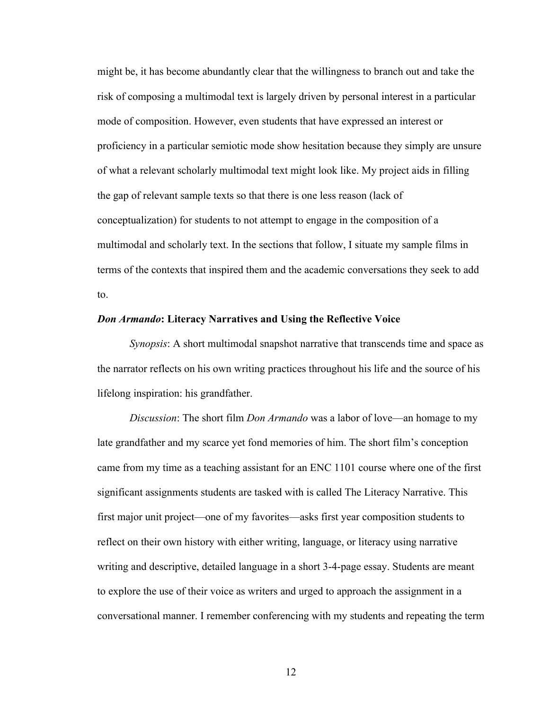might be, it has become abundantly clear that the willingness to branch out and take the risk of composing a multimodal text is largely driven by personal interest in a particular mode of composition. However, even students that have expressed an interest or proficiency in a particular semiotic mode show hesitation because they simply are unsure of what a relevant scholarly multimodal text might look like. My project aids in filling the gap of relevant sample texts so that there is one less reason (lack of conceptualization) for students to not attempt to engage in the composition of a multimodal and scholarly text. In the sections that follow, I situate my sample films in terms of the contexts that inspired them and the academic conversations they seek to add to.

#### *Don Armando***: Literacy Narratives and Using the Reflective Voice**

*Synopsis*: A short multimodal snapshot narrative that transcends time and space as the narrator reflects on his own writing practices throughout his life and the source of his lifelong inspiration: his grandfather.

*Discussion*: The short film *Don Armando* was a labor of love—an homage to my late grandfather and my scarce yet fond memories of him. The short film's conception came from my time as a teaching assistant for an ENC 1101 course where one of the first significant assignments students are tasked with is called The Literacy Narrative. This first major unit project—one of my favorites—asks first year composition students to reflect on their own history with either writing, language, or literacy using narrative writing and descriptive, detailed language in a short 3-4-page essay. Students are meant to explore the use of their voice as writers and urged to approach the assignment in a conversational manner. I remember conferencing with my students and repeating the term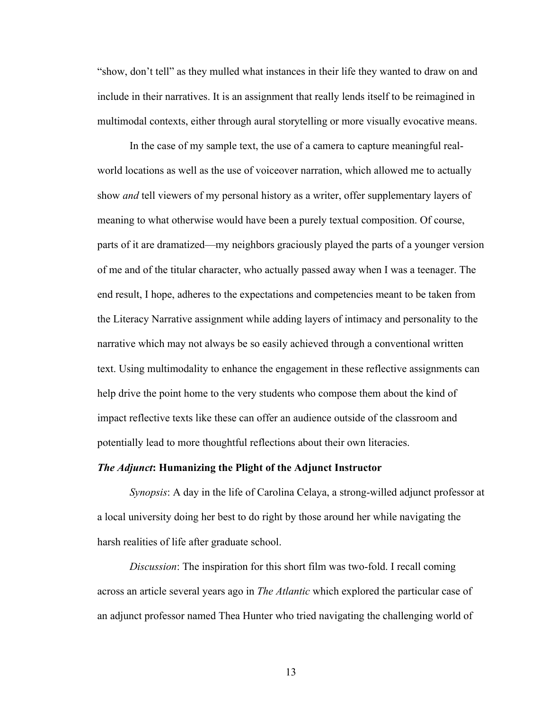"show, don't tell" as they mulled what instances in their life they wanted to draw on and include in their narratives. It is an assignment that really lends itself to be reimagined in multimodal contexts, either through aural storytelling or more visually evocative means.

In the case of my sample text, the use of a camera to capture meaningful realworld locations as well as the use of voiceover narration, which allowed me to actually show *and* tell viewers of my personal history as a writer, offer supplementary layers of meaning to what otherwise would have been a purely textual composition. Of course, parts of it are dramatized—my neighbors graciously played the parts of a younger version of me and of the titular character, who actually passed away when I was a teenager. The end result, I hope, adheres to the expectations and competencies meant to be taken from the Literacy Narrative assignment while adding layers of intimacy and personality to the narrative which may not always be so easily achieved through a conventional written text. Using multimodality to enhance the engagement in these reflective assignments can help drive the point home to the very students who compose them about the kind of impact reflective texts like these can offer an audience outside of the classroom and potentially lead to more thoughtful reflections about their own literacies.

## *The Adjunct***: Humanizing the Plight of the Adjunct Instructor**

*Synopsis*: A day in the life of Carolina Celaya, a strong-willed adjunct professor at a local university doing her best to do right by those around her while navigating the harsh realities of life after graduate school.

*Discussion*: The inspiration for this short film was two-fold. I recall coming across an article several years ago in *The Atlantic* which explored the particular case of an adjunct professor named Thea Hunter who tried navigating the challenging world of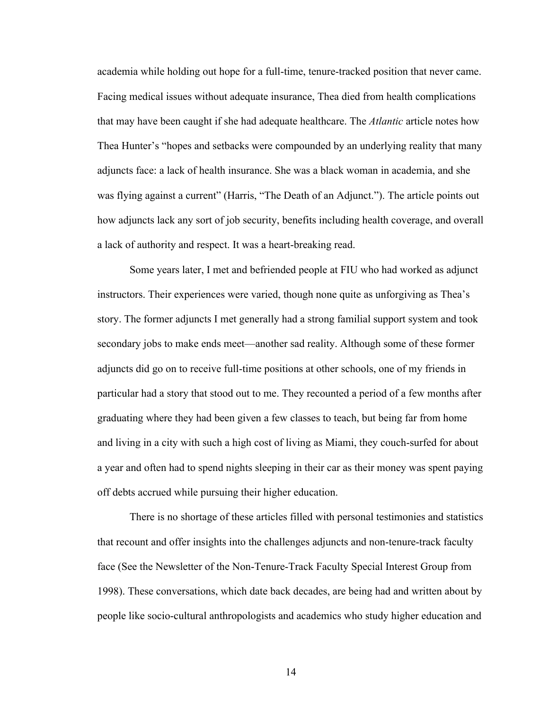academia while holding out hope for a full-time, tenure-tracked position that never came. Facing medical issues without adequate insurance, Thea died from health complications that may have been caught if she had adequate healthcare. The *Atlantic* article notes how Thea Hunter's "hopes and setbacks were compounded by an underlying reality that many adjuncts face: a lack of health insurance. She was a black woman in academia, and she was flying against a current" (Harris, "The Death of an Adjunct."). The article points out how adjuncts lack any sort of job security, benefits including health coverage, and overall a lack of authority and respect. It was a heart-breaking read.

Some years later, I met and befriended people at FIU who had worked as adjunct instructors. Their experiences were varied, though none quite as unforgiving as Thea's story. The former adjuncts I met generally had a strong familial support system and took secondary jobs to make ends meet—another sad reality. Although some of these former adjuncts did go on to receive full-time positions at other schools, one of my friends in particular had a story that stood out to me. They recounted a period of a few months after graduating where they had been given a few classes to teach, but being far from home and living in a city with such a high cost of living as Miami, they couch-surfed for about a year and often had to spend nights sleeping in their car as their money was spent paying off debts accrued while pursuing their higher education.

There is no shortage of these articles filled with personal testimonies and statistics that recount and offer insights into the challenges adjuncts and non-tenure-track faculty face (See the Newsletter of the Non-Tenure-Track Faculty Special Interest Group from 1998). These conversations, which date back decades, are being had and written about by people like socio-cultural anthropologists and academics who study higher education and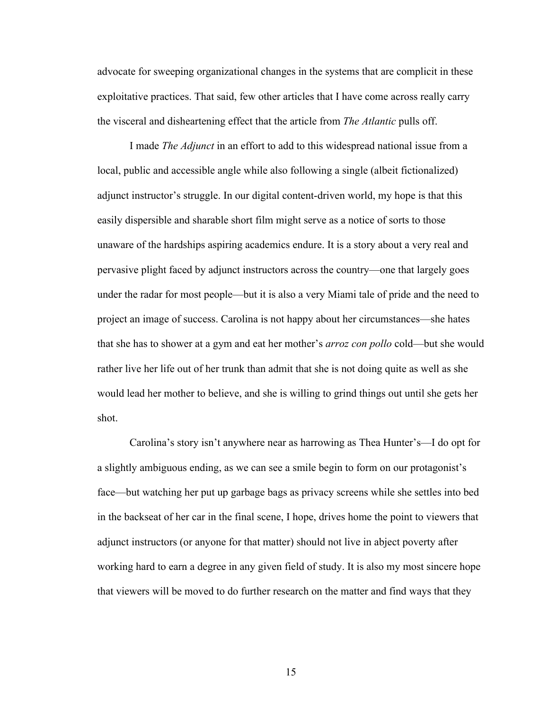advocate for sweeping organizational changes in the systems that are complicit in these exploitative practices. That said, few other articles that I have come across really carry the visceral and disheartening effect that the article from *The Atlantic* pulls off.

I made *The Adjunct* in an effort to add to this widespread national issue from a local, public and accessible angle while also following a single (albeit fictionalized) adjunct instructor's struggle. In our digital content-driven world, my hope is that this easily dispersible and sharable short film might serve as a notice of sorts to those unaware of the hardships aspiring academics endure. It is a story about a very real and pervasive plight faced by adjunct instructors across the country—one that largely goes under the radar for most people—but it is also a very Miami tale of pride and the need to project an image of success. Carolina is not happy about her circumstances—she hates that she has to shower at a gym and eat her mother's *arroz con pollo* cold—but she would rather live her life out of her trunk than admit that she is not doing quite as well as she would lead her mother to believe, and she is willing to grind things out until she gets her shot.

Carolina's story isn't anywhere near as harrowing as Thea Hunter's—I do opt for a slightly ambiguous ending, as we can see a smile begin to form on our protagonist's face—but watching her put up garbage bags as privacy screens while she settles into bed in the backseat of her car in the final scene, I hope, drives home the point to viewers that adjunct instructors (or anyone for that matter) should not live in abject poverty after working hard to earn a degree in any given field of study. It is also my most sincere hope that viewers will be moved to do further research on the matter and find ways that they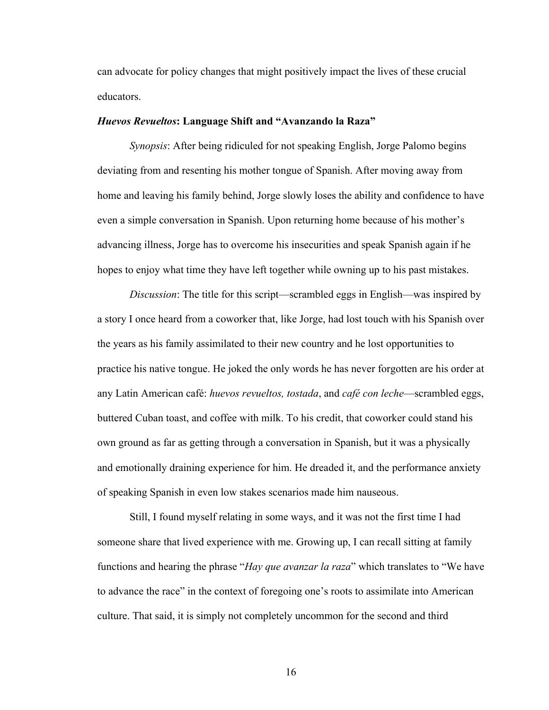can advocate for policy changes that might positively impact the lives of these crucial educators.

### *Huevos Revueltos***: Language Shift and "Avanzando la Raza"**

*Synopsis*: After being ridiculed for not speaking English, Jorge Palomo begins deviating from and resenting his mother tongue of Spanish. After moving away from home and leaving his family behind, Jorge slowly loses the ability and confidence to have even a simple conversation in Spanish. Upon returning home because of his mother's advancing illness, Jorge has to overcome his insecurities and speak Spanish again if he hopes to enjoy what time they have left together while owning up to his past mistakes.

*Discussion*: The title for this script—scrambled eggs in English—was inspired by a story I once heard from a coworker that, like Jorge, had lost touch with his Spanish over the years as his family assimilated to their new country and he lost opportunities to practice his native tongue. He joked the only words he has never forgotten are his order at any Latin American café: *huevos revueltos, tostada*, and *café con leche*—scrambled eggs, buttered Cuban toast, and coffee with milk. To his credit, that coworker could stand his own ground as far as getting through a conversation in Spanish, but it was a physically and emotionally draining experience for him. He dreaded it, and the performance anxiety of speaking Spanish in even low stakes scenarios made him nauseous.

Still, I found myself relating in some ways, and it was not the first time I had someone share that lived experience with me. Growing up, I can recall sitting at family functions and hearing the phrase "*Hay que avanzar la raza*" which translates to "We have to advance the race" in the context of foregoing one's roots to assimilate into American culture. That said, it is simply not completely uncommon for the second and third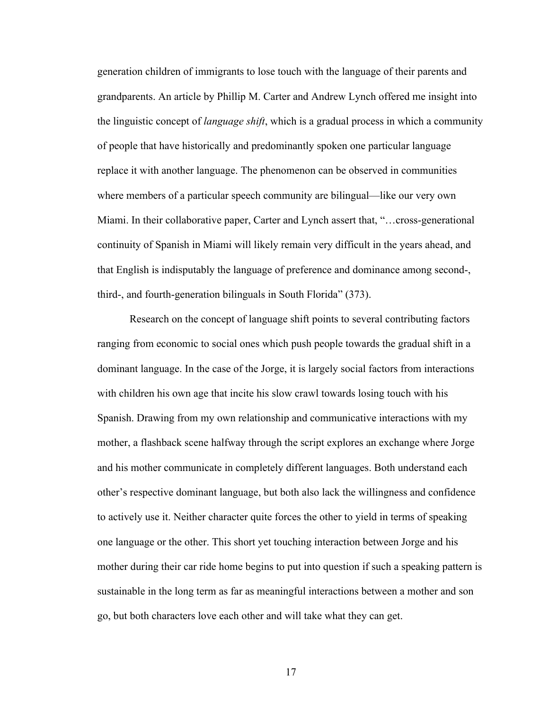generation children of immigrants to lose touch with the language of their parents and grandparents. An article by Phillip M. Carter and Andrew Lynch offered me insight into the linguistic concept of *language shift*, which is a gradual process in which a community of people that have historically and predominantly spoken one particular language replace it with another language. The phenomenon can be observed in communities where members of a particular speech community are bilingual—like our very own Miami. In their collaborative paper, Carter and Lynch assert that, "…cross-generational continuity of Spanish in Miami will likely remain very difficult in the years ahead, and that English is indisputably the language of preference and dominance among second-, third-, and fourth-generation bilinguals in South Florida" (373).

Research on the concept of language shift points to several contributing factors ranging from economic to social ones which push people towards the gradual shift in a dominant language. In the case of the Jorge, it is largely social factors from interactions with children his own age that incite his slow crawl towards losing touch with his Spanish. Drawing from my own relationship and communicative interactions with my mother, a flashback scene halfway through the script explores an exchange where Jorge and his mother communicate in completely different languages. Both understand each other's respective dominant language, but both also lack the willingness and confidence to actively use it. Neither character quite forces the other to yield in terms of speaking one language or the other. This short yet touching interaction between Jorge and his mother during their car ride home begins to put into question if such a speaking pattern is sustainable in the long term as far as meaningful interactions between a mother and son go, but both characters love each other and will take what they can get.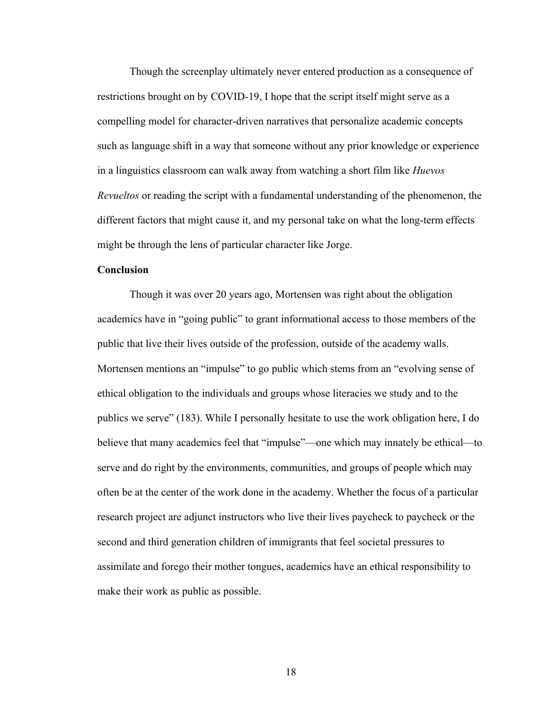Though the screenplay ultimately never entered production as a consequence of restrictions brought on by COVID-19, I hope that the script itself might serve as a compelling model for character-driven narratives that personalize academic concepts such as language shift in a way that someone without any prior knowledge or experience in a linguistics classroom can walk away from watching a short film like *Huevos Revueltos* or reading the script with a fundamental understanding of the phenomenon, the different factors that might cause it, and my personal take on what the long-term effects might be through the lens of particular character like Jorge.

## **Conclusion**

Though it was over 20 years ago, Mortensen was right about the obligation academics have in "going public" to grant informational access to those members of the public that live their lives outside of the profession, outside of the academy walls. Mortensen mentions an "impulse" to go public which stems from an "evolving sense of ethical obligation to the individuals and groups whose literacies we study and to the publics we serve" (183). While I personally hesitate to use the work obligation here, I do believe that many academics feel that "impulse"—one which may innately be ethical—to serve and do right by the environments, communities, and groups of people which may often be at the center of the work done in the academy. Whether the focus of a particular research project are adjunct instructors who live their lives paycheck to paycheck or the second and third generation children of immigrants that feel societal pressures to assimilate and forego their mother tongues, academics have an ethical responsibility to make their work as public as possible.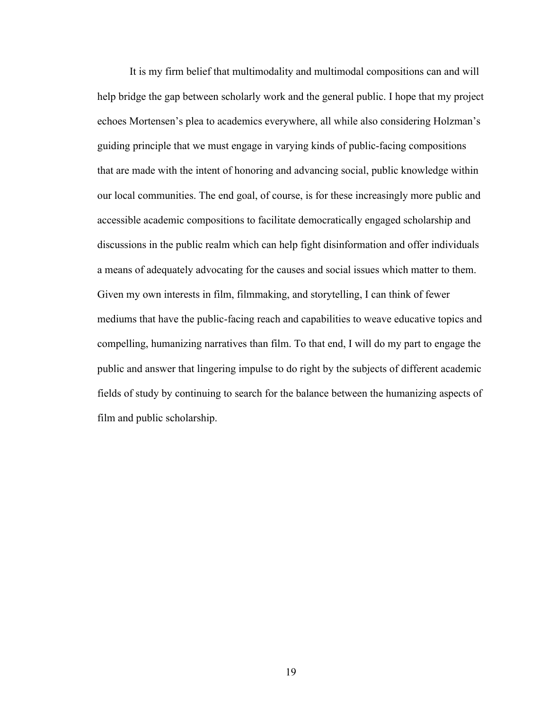It is my firm belief that multimodality and multimodal compositions can and will help bridge the gap between scholarly work and the general public. I hope that my project echoes Mortensen's plea to academics everywhere, all while also considering Holzman's guiding principle that we must engage in varying kinds of public-facing compositions that are made with the intent of honoring and advancing social, public knowledge within our local communities. The end goal, of course, is for these increasingly more public and accessible academic compositions to facilitate democratically engaged scholarship and discussions in the public realm which can help fight disinformation and offer individuals a means of adequately advocating for the causes and social issues which matter to them. Given my own interests in film, filmmaking, and storytelling, I can think of fewer mediums that have the public-facing reach and capabilities to weave educative topics and compelling, humanizing narratives than film. To that end, I will do my part to engage the public and answer that lingering impulse to do right by the subjects of different academic fields of study by continuing to search for the balance between the humanizing aspects of film and public scholarship.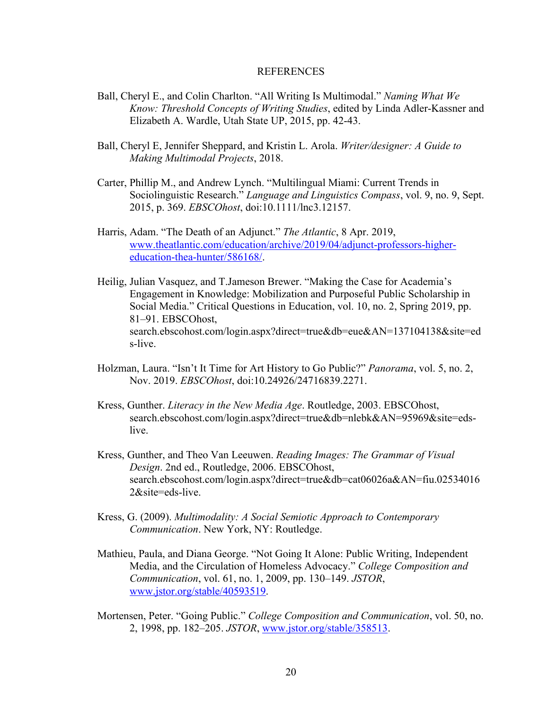### REFERENCES

- Ball, Cheryl E., and Colin Charlton. "All Writing Is Multimodal." *Naming What We Know: Threshold Concepts of Writing Studies*, edited by Linda Adler-Kassner and Elizabeth A. Wardle, Utah State UP, 2015, pp. 42-43.
- Ball, Cheryl E, Jennifer Sheppard, and Kristin L. Arola. *Writer/designer: A Guide to Making Multimodal Projects*, 2018.
- Carter, Phillip M., and Andrew Lynch. "Multilingual Miami: Current Trends in Sociolinguistic Research." *Language and Linguistics Compass*, vol. 9, no. 9, Sept. 2015, p. 369. *EBSCOhost*, doi:10.1111/lnc3.12157.
- Harris, Adam. "The Death of an Adjunct." *The Atlantic*, 8 Apr. 2019, www.theatlantic.com/education/archive/2019/04/adjunct-professors-highereducation-thea-hunter/586168/.
- Heilig, Julian Vasquez, and T.Jameson Brewer. "Making the Case for Academia's Engagement in Knowledge: Mobilization and Purposeful Public Scholarship in Social Media." Critical Questions in Education, vol. 10, no. 2, Spring 2019, pp. 81–91. EBSCOhost, search.ebscohost.com/login.aspx?direct=true&db=eue&AN=137104138&site=ed s-live.
- Holzman, Laura. "Isn't It Time for Art History to Go Public?" *Panorama*, vol. 5, no. 2, Nov. 2019. *EBSCOhost*, doi:10.24926/24716839.2271.
- Kress, Gunther. *Literacy in the New Media Age*. Routledge, 2003. EBSCOhost, search.ebscohost.com/login.aspx?direct=true&db=nlebk&AN=95969&site=edslive.
- Kress, Gunther, and Theo Van Leeuwen. *Reading Images: The Grammar of Visual Design*. 2nd ed., Routledge, 2006. EBSCOhost, search.ebscohost.com/login.aspx?direct=true&db=cat06026a&AN=fiu.02534016 2&site=eds-live.
- Kress, G. (2009). *Multimodality: A Social Semiotic Approach to Contemporary Communication*. New York, NY: Routledge.
- Mathieu, Paula, and Diana George. "Not Going It Alone: Public Writing, Independent Media, and the Circulation of Homeless Advocacy." *College Composition and Communication*, vol. 61, no. 1, 2009, pp. 130–149. *JSTOR*, www.jstor.org/stable/40593519.
- Mortensen, Peter. "Going Public." *College Composition and Communication*, vol. 50, no. 2, 1998, pp. 182–205. *JSTOR*, www.jstor.org/stable/358513.